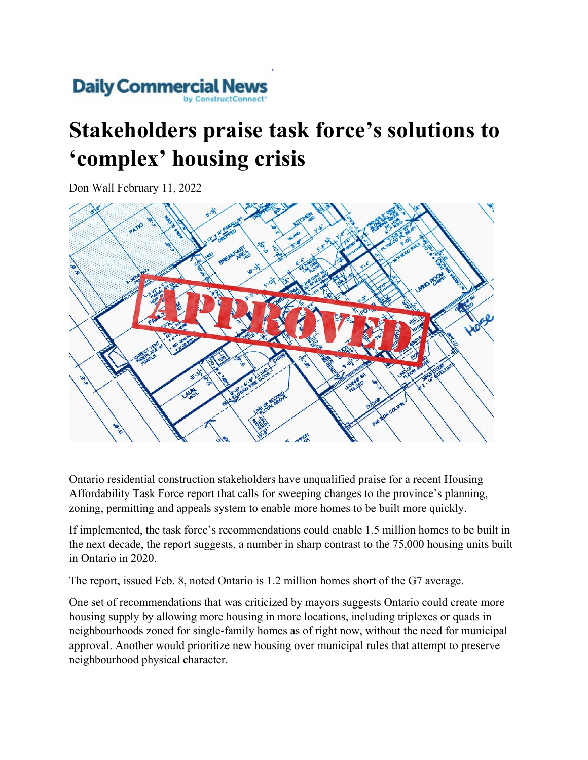

## **Stakeholders praise task force's solutions to 'complex' housing crisis**

Don Wall February 11, 2022



Ontario residential construction stakeholders have unqualified praise for a recent Housing Affordability Task Force report that calls for sweeping changes to the province's planning, zoning, permitting and appeals system to enable more homes to be built more quickly.

If implemented, the task force's recommendations could enable 1.5 million homes to be built in the next decade, the report suggests, a number in sharp contrast to the 75,000 housing units built in Ontario in 2020.

The report, issued Feb. 8, noted Ontario is 1.2 million homes short of the G7 average.

One set of recommendations that was criticized by mayors suggests Ontario could create more housing supply by allowing more housing in more locations, including triplexes or quads in neighbourhoods zoned for single-family homes as of right now, without the need for municipal approval. Another would prioritize new housing over municipal rules that attempt to preserve neighbourhood physical character.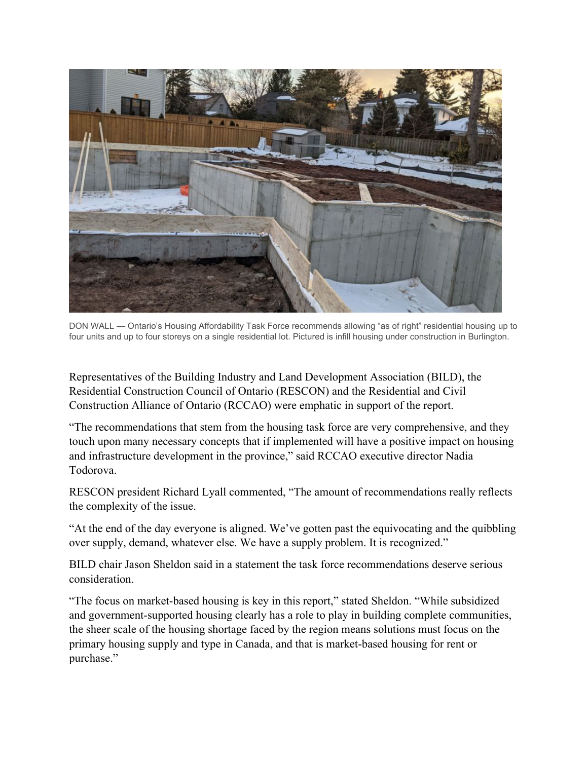

DON WALL — Ontario's Housing Affordability Task Force recommends allowing "as of right" residential housing up to four units and up to four storeys on a single residential lot. Pictured is infill housing under construction in Burlington.

Representatives of the Building Industry and Land Development Association (BILD), the Residential Construction Council of Ontario (RESCON) and the Residential and Civil Construction Alliance of Ontario (RCCAO) were emphatic in support of the report.

"The recommendations that stem from the housing task force are very comprehensive, and they touch upon many necessary concepts that if implemented will have a positive impact on housing and infrastructure development in the province," said RCCAO executive director Nadia Todorova.

RESCON president Richard Lyall commented, "The amount of recommendations really reflects the complexity of the issue.

"At the end of the day everyone is aligned. We've gotten past the equivocating and the quibbling over supply, demand, whatever else. We have a supply problem. It is recognized."

BILD chair Jason Sheldon said in a statement the task force recommendations deserve serious consideration.

"The focus on market-based housing is key in this report," stated Sheldon. "While subsidized and government-supported housing clearly has a role to play in building complete communities, the sheer scale of the housing shortage faced by the region means solutions must focus on the primary housing supply and type in Canada, and that is market-based housing for rent or purchase."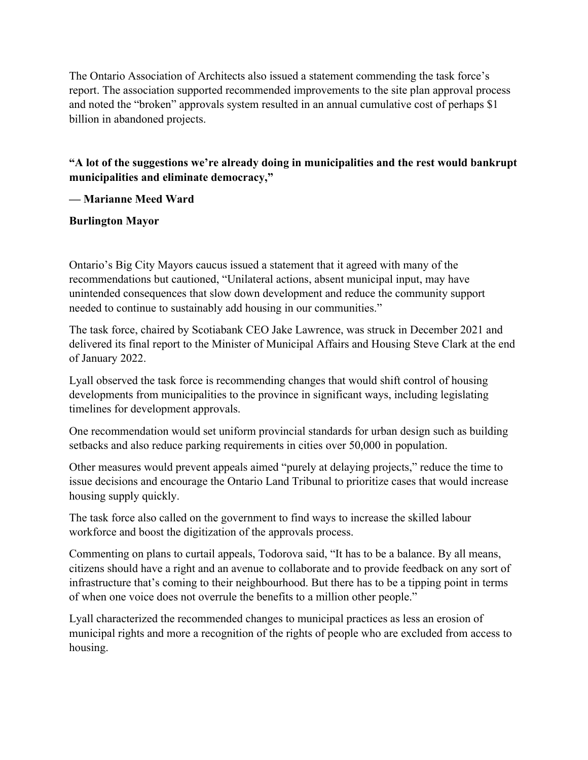The Ontario Association of Architects also issued a statement commending the task force's report. The association supported recommended improvements to the site plan approval process and noted the "broken" approvals system resulted in an annual cumulative cost of perhaps \$1 billion in abandoned projects.

**"A lot of the suggestions we're already doing in municipalities and the rest would bankrupt municipalities and eliminate democracy,"**

**— Marianne Meed Ward**

**Burlington Mayor**

Ontario's Big City Mayors caucus issued a statement that it agreed with many of the recommendations but cautioned, "Unilateral actions, absent municipal input, may have unintended consequences that slow down development and reduce the community support needed to continue to sustainably add housing in our communities."

The task force, chaired by Scotiabank CEO Jake Lawrence, was struck in December 2021 and delivered its final report to the Minister of Municipal Affairs and Housing Steve Clark at the end of January 2022.

Lyall observed the task force is recommending changes that would shift control of housing developments from municipalities to the province in significant ways, including legislating timelines for development approvals.

One recommendation would set uniform provincial standards for urban design such as building setbacks and also reduce parking requirements in cities over 50,000 in population.

Other measures would prevent appeals aimed "purely at delaying projects," reduce the time to issue decisions and encourage the Ontario Land Tribunal to prioritize cases that would increase housing supply quickly.

The task force also called on the government to find ways to increase the skilled labour workforce and boost the digitization of the approvals process.

Commenting on plans to curtail appeals, Todorova said, "It has to be a balance. By all means, citizens should have a right and an avenue to collaborate and to provide feedback on any sort of infrastructure that's coming to their neighbourhood. But there has to be a tipping point in terms of when one voice does not overrule the benefits to a million other people."

Lyall characterized the recommended changes to municipal practices as less an erosion of municipal rights and more a recognition of the rights of people who are excluded from access to housing.